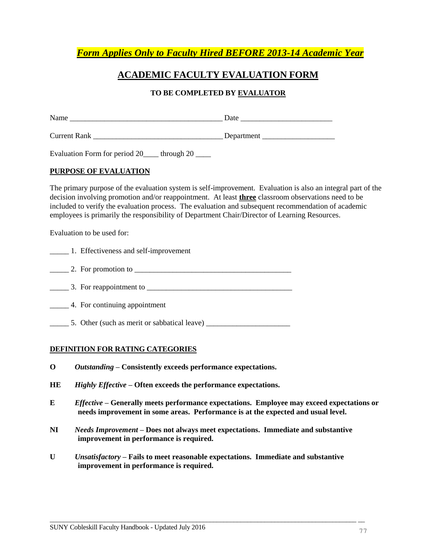*Form Applies Only to Faculty Hired BEFORE 2013-14 Academic Year*

## **ACADEMIC FACULTY EVALUATION FORM**

### **TO BE COMPLETED BY EVALUATOR**

| Name                | Date       |  |  |
|---------------------|------------|--|--|
| <b>Current Rank</b> | Department |  |  |

Evaluation Form for period 20\_\_\_\_ through 20 \_\_\_\_

#### **PURPOSE OF EVALUATION**

The primary purpose of the evaluation system is self-improvement. Evaluation is also an integral part of the decision involving promotion and/or reappointment. At least **three** classroom observations need to be included to verify the evaluation process. The evaluation and subsequent recommendation of academic employees is primarily the responsibility of Department Chair/Director of Learning Resources.

Evaluation to be used for:

| 1. Effectiveness and self-improvement |
|---------------------------------------|
| 2. For promotion to                   |

- \_\_\_\_\_ 3. For reappointment to \_\_\_\_\_\_\_\_\_\_\_\_\_\_\_\_\_\_\_\_\_\_\_\_\_\_\_\_\_\_\_\_\_\_\_\_\_\_
- \_\_\_\_\_ 4. For continuing appointment
- \_\_\_\_\_ 5. Other (such as merit or sabbatical leave) \_\_\_\_\_\_\_\_\_\_\_\_\_\_\_\_\_\_\_\_\_\_

#### **DEFINITION FOR RATING CATEGORIES**

- **O** *Outstanding –* **Consistently exceeds performance expectations.**
- **HE** *Highly Effective* **– Often exceeds the performance expectations.**
- **E** *Effective* **– Generally meets performance expectations. Employee may exceed expectations or needs improvement in some areas. Performance is at the expected and usual level.**
- **NI** *Needs Improvement* **– Does not always meet expectations. Immediate and substantive improvement in performance is required.**
- **U** *Unsatisfactory* **– Fails to meet reasonable expectations. Immediate and substantive improvement in performance is required.**

 $\overline{\phantom{a}}$  , and the contribution of the contribution of the contribution of the contribution of the contribution of the contribution of the contribution of the contribution of the contribution of the contribution of the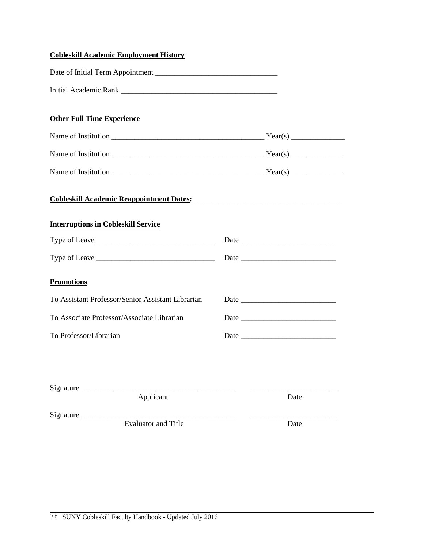| <b>Cobleskill Academic Employment History</b>                                        |      |
|--------------------------------------------------------------------------------------|------|
|                                                                                      |      |
|                                                                                      |      |
| <b>Other Full Time Experience</b>                                                    |      |
| Name of Institution $\frac{1}{\sqrt{2\pi}}$                                          |      |
|                                                                                      |      |
|                                                                                      |      |
| Cobleskill Academic Reappointment Dates:<br>Cobleskill Academic Reappointment Dates: |      |
| <b>Interruptions in Cobleskill Service</b>                                           |      |
|                                                                                      |      |
|                                                                                      |      |
| <b>Promotions</b>                                                                    |      |
| To Assistant Professor/Senior Assistant Librarian                                    |      |
| To Associate Professor/Associate Librarian                                           |      |
| To Professor/Librarian                                                               |      |
|                                                                                      |      |
| Signature                                                                            |      |
| Applicant                                                                            | Date |
| Signature<br><b>Evaluator and Title</b>                                              | Date |
|                                                                                      |      |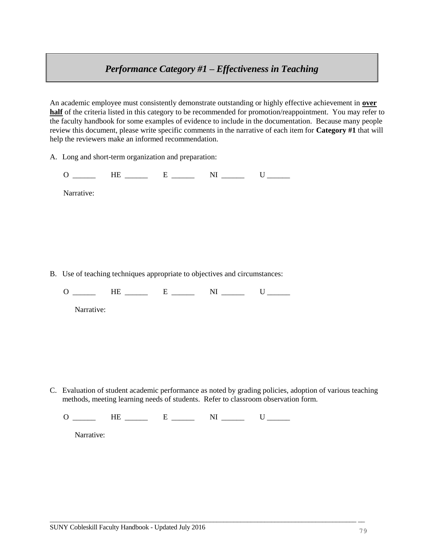## *Performance Category #1 – Effectiveness in Teaching*

An academic employee must consistently demonstrate outstanding or highly effective achievement in **over half** of the criteria listed in this category to be recommended for promotion/reappointment. You may refer to the faculty handbook for some examples of evidence to include in the documentation. Because many people review this document, please write specific comments in the narrative of each item for **Category #1** that will help the reviewers make an informed recommendation.

A. Long and short-term organization and preparation:

 $O \_$  HE  $\_$  E  $\_$  NI  $\_$  U

Narrative:

B. Use of teaching techniques appropriate to objectives and circumstances:

 $O \_$  HE  $\_$  E  $\_$  NI  $\_$  U

Narrative:

C. Evaluation of student academic performance as noted by grading policies, adoption of various teaching methods, meeting learning needs of students. Refer to classroom observation form.

 $\overline{\phantom{a}}$  , and the contribution of the contribution of the contribution of the contribution of the contribution of the contribution of the contribution of the contribution of the contribution of the contribution of the

 $O \_$  HE  $\_$  E  $\_$  NI  $\_$  U

Narrative: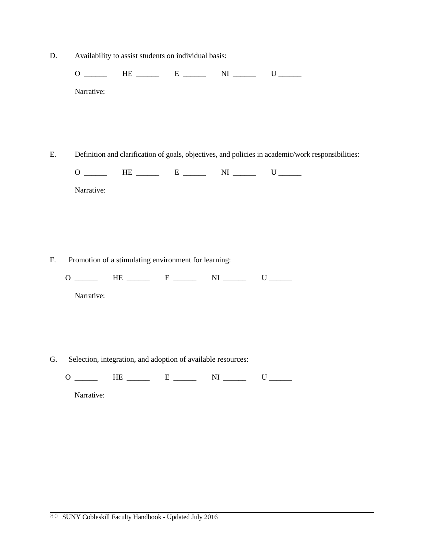D. Availability to assist students on individual basis:

 $O \_$  HE  $\_$  E  $\_$  NI  $\_$  U Narrative:

E. Definition and clarification of goals, objectives, and policies in academic/work responsibilities:

 $O \_$  HE  $\_$  E  $\_$  NI  $\_$  U

| Narrative: |
|------------|
|            |

F. Promotion of a stimulating environment for learning:

 $O \_$  HE  $\_$  E  $\_$  NI  $\_$  U

Narrative:

G. Selection, integration, and adoption of available resources:

 $O \_$  HE  $\_$  E  $\_$  NI  $\_$  U

Narrative: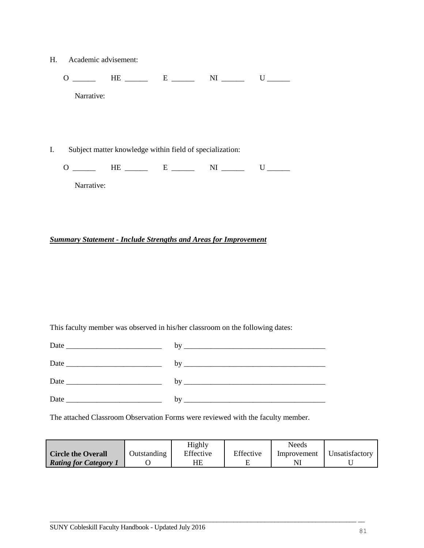H. Academic advisement:

 $O \_$  HE  $\_$  E  $\_$  NI  $\_$  U Narrative:

I. Subject matter knowledge within field of specialization:

 $O \_$  HE  $\_$  E  $\_$  NI  $\_$  U

Narrative:

#### *Summary Statement - Include Strengths and Areas for Improvement*

This faculty member was observed in his/her classroom on the following dates:

| Date                                                                                                                                                                                                                           |  |
|--------------------------------------------------------------------------------------------------------------------------------------------------------------------------------------------------------------------------------|--|
| Date experience and the state of the state of the state of the state of the state of the state of the state of the state of the state of the state of the state of the state of the state of the state of the state of the sta |  |
|                                                                                                                                                                                                                                |  |

The attached Classroom Observation Forms were reviewed with the faculty member.

|                              |             | Highly    |           | Needs       |                |
|------------------------------|-------------|-----------|-----------|-------------|----------------|
| <b>Circle the Overall</b>    | Outstanding | Effective | Effective | Improvement | Unsatisfactory |
| <b>Rating for Category 1</b> |             | ΗE        |           |             |                |

 $\overline{\phantom{a}}$  , and the contribution of the contribution of the contribution of the contribution of the contribution of the contribution of the contribution of the contribution of the contribution of the contribution of the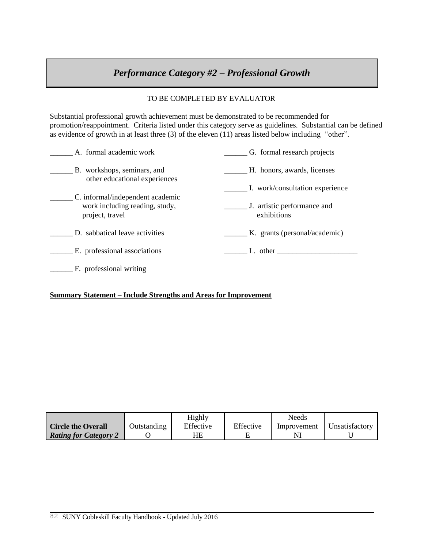# *Performance Category #2 – Professional Growth*

### TO BE COMPLETED BY EVALUATOR

Substantial professional growth achievement must be demonstrated to be recommended for promotion/reappointment. Criteria listed under this category serve as guidelines. Substantial can be defined as evidence of growth in at least three (3) of the eleven (11) areas listed below including "other".

| A. formal academic work                                                               | G. formal research projects                                                                                                                                                                                                   |
|---------------------------------------------------------------------------------------|-------------------------------------------------------------------------------------------------------------------------------------------------------------------------------------------------------------------------------|
| B. workshops, seminars, and<br>other educational experiences                          | H. honors, awards, licenses                                                                                                                                                                                                   |
|                                                                                       | I. work/consultation experience                                                                                                                                                                                               |
| C. informal/independent academic<br>work including reading, study,<br>project, travel | J. artistic performance and<br>exhibitions                                                                                                                                                                                    |
| D. sabbatical leave activities                                                        | K. grants (personal/academic)                                                                                                                                                                                                 |
| E. professional associations                                                          | L. other that the contract of the contract of the contract of the contract of the contract of the contract of the contract of the contract of the contract of the contract of the contract of the contract of the contract of |
| F. professional writing                                                               |                                                                                                                                                                                                                               |

#### **Summary Statement – Include Strengths and Areas for Improvement**

|                              |             | Highly    |           | Needs       |                |
|------------------------------|-------------|-----------|-----------|-------------|----------------|
| <b>Circle the Overall</b>    | Outstanding | Effective | Effective | Improvement | Unsatisfactory |
| <b>Rating for Category 2</b> |             | HE        |           |             |                |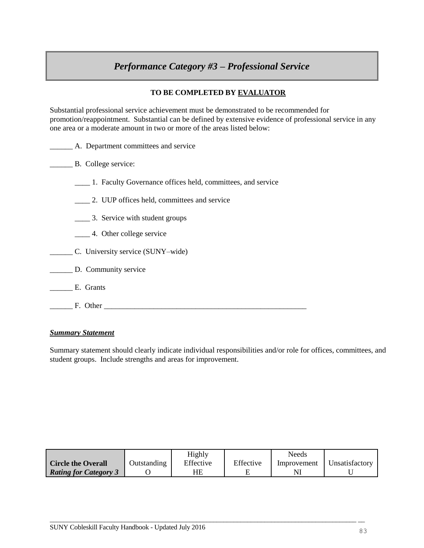# *Performance Category #3 – Professional Service*

### **TO BE COMPLETED BY EVALUATOR**

Substantial professional service achievement must be demonstrated to be recommended for promotion/reappointment. Substantial can be defined by extensive evidence of professional service in any one area or a moderate amount in two or more of the areas listed below:

A. Department committees and service

#### B. College service:

- \_\_\_\_ 1. Faculty Governance offices held, committees, and service
- \_\_\_\_ 2. UUP offices held, committees and service
- **\_\_\_\_\_** 3. Service with student groups
- \_\_\_\_ 4. Other college service
- \_\_\_\_\_\_ C. University service (SUNY–wide)
- \_\_\_\_\_\_ D. Community service
- \_\_\_\_\_\_ E. Grants
- **The EXECUTE EXECUTE EXECUTE EXECUTE EXECUTE EXECUTE EXECUTE EXECUTE EXECUTE EXECUTE EXECUTE EXECUTE EXECUTE E**

#### *Summary Statement*

Summary statement should clearly indicate individual responsibilities and/or role for offices, committees, and student groups. Include strengths and areas for improvement.

|                              |             | Highly    |           | Needs       |                |
|------------------------------|-------------|-----------|-----------|-------------|----------------|
| <b>Circle the Overall</b>    | Outstanding | Effective | Effective | Improvement | Unsatisfactory |
| <b>Rating for Category 3</b> |             | ΗE        |           |             |                |

 $\overline{\phantom{a}}$  , and the contribution of the contribution of the contribution of the contribution of the contribution of the contribution of the contribution of the contribution of the contribution of the contribution of the